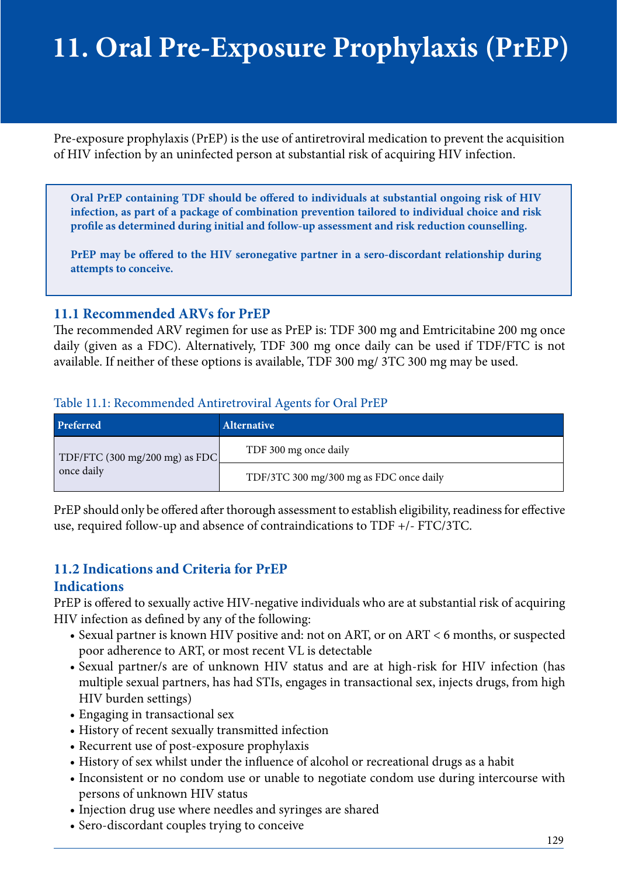# **11. Oral Pre-Exposure Prophylaxis (PrEP)**

Pre-exposure prophylaxis (PrEP) is the use of antiretroviral medication to prevent the acquisition of HIV infection by an uninfected person at substantial risk of acquiring HIV infection.

**Oral PrEP containing TDF should be offered to individuals at substantial ongoing risk of HIV infection, as part of a package of combination prevention tailored to individual choice and risk prole as determined during initial and follow-up assessment and risk reduction counselling.**

PrEP may be offered to the HIV seronegative partner in a sero-discordant relationship during **attempts to conceive.**

# **11.1 Recommended ARVs for PrEP**

The recommended ARV regimen for use as PrEP is: TDF 300 mg and Emtricitabine 200 mg once daily (given as a FDC). Alternatively, TDF 300 mg once daily can be used if TDF/FTC is not available. If neither of these options is available, TDF 300 mg/ 3TC 300 mg may be used.

#### Table 11.1: Recommended Antiretroviral Agents for Oral PrEP

| Preferred                                    | Alternative                             |  |
|----------------------------------------------|-----------------------------------------|--|
| TDF/FTC (300 mg/200 mg) as FDC<br>once daily | TDF 300 mg once daily                   |  |
|                                              | TDF/3TC 300 mg/300 mg as FDC once daily |  |

PrEP should only be offered after thorough assessment to establish eligibility, readiness for effective use, required follow-up and absence of contraindications to TDF +/- FTC/3TC.

# **11.2 Indications and Criteria for PrEP**

#### **Indications**

PrEP is offered to sexually active HIV-negative individuals who are at substantial risk of acquiring HIV infection as defined by any of the following:

- Sexual partner is known HIV positive and: not on ART, or on ART < 6 months, or suspected poor adherence to ART, or most recent VL is detectable
- Sexual partner/s are of unknown HIV status and are at high-risk for HIV infection (has multiple sexual partners, has had STIs, engages in transactional sex, injects drugs, from high HIV burden settings)
- Engaging in transactional sex
- History of recent sexually transmitted infection
- Recurrent use of post-exposure prophylaxis
- History of sex whilst under the influence of alcohol or recreational drugs as a habit
- Inconsistent or no condom use or unable to negotiate condom use during intercourse with persons of unknown HIV status
- Injection drug use where needles and syringes are shared
- Sero-discordant couples trying to conceive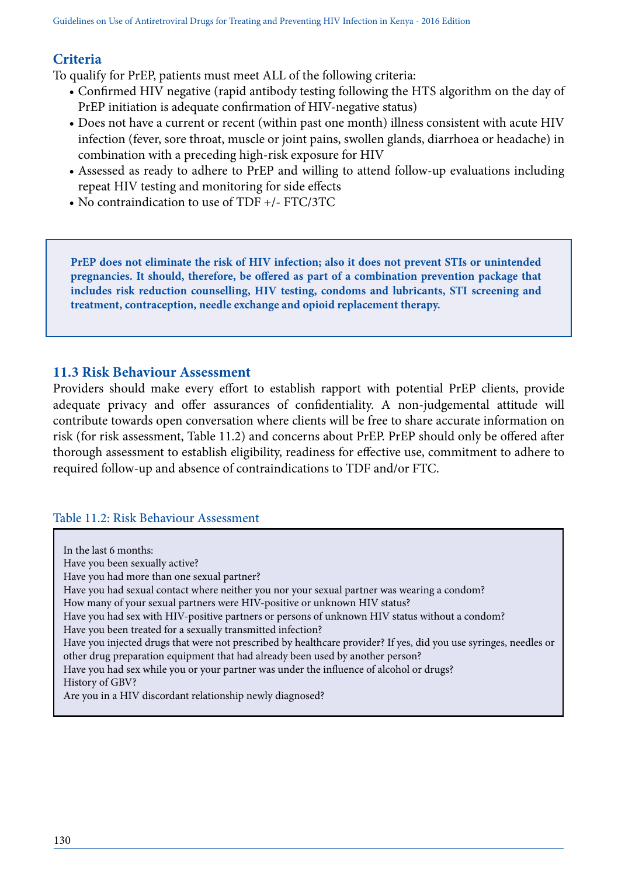# **Criteria**

To qualify for PrEP, patients must meet ALL of the following criteria:

- Confirmed HIV negative (rapid antibody testing following the HTS algorithm on the day of PrEP initiation is adequate confirmation of HIV-negative status)
- Does not have a current or recent (within past one month) illness consistent with acute HIV infection (fever, sore throat, muscle or joint pains, swollen glands, diarrhoea or headache) in combination with a preceding high-risk exposure for HIV
- Assessed as ready to adhere to PrEP and willing to attend follow-up evaluations including repeat HIV testing and monitoring for side effects
- No contraindication to use of TDF +/- FTC/3TC

**PrEP does not eliminate the risk of HIV infection; also it does not prevent STIs or unintended pregnancies. It should, therefore, be offered as part of a combination prevention package that includes risk reduction counselling, HIV testing, condoms and lubricants, STI screening and treatment, contraception, needle exchange and opioid replacement therapy.**

# **11.3 Risk Behaviour Assessment**

Providers should make every effort to establish rapport with potential PrEP clients, provide adequate privacy and offer assurances of confidentiality. A non-judgemental attitude will contribute towards open conversation where clients will be free to share accurate information on risk (for risk assessment, Table 11.2) and concerns about PrEP. PrEP should only be offered after thorough assessment to establish eligibility, readiness for effective use, commitment to adhere to required follow-up and absence of contraindications to TDF and/or FTC.

#### Table 11.2: Risk Behaviour Assessment

In the last 6 months: Have you been sexually active? Have you had more than one sexual partner? Have you had sexual contact where neither you nor your sexual partner was wearing a condom? How many of your sexual partners were HIV-positive or unknown HIV status? Have you had sex with HIV-positive partners or persons of unknown HIV status without a condom? Have you been treated for a sexually transmitted infection? Have you injected drugs that were not prescribed by healthcare provider? If yes, did you use syringes, needles or other drug preparation equipment that had already been used by another person? Have you had sex while you or your partner was under the influence of alcohol or drugs? History of GBV? Are you in a HIV discordant relationship newly diagnosed?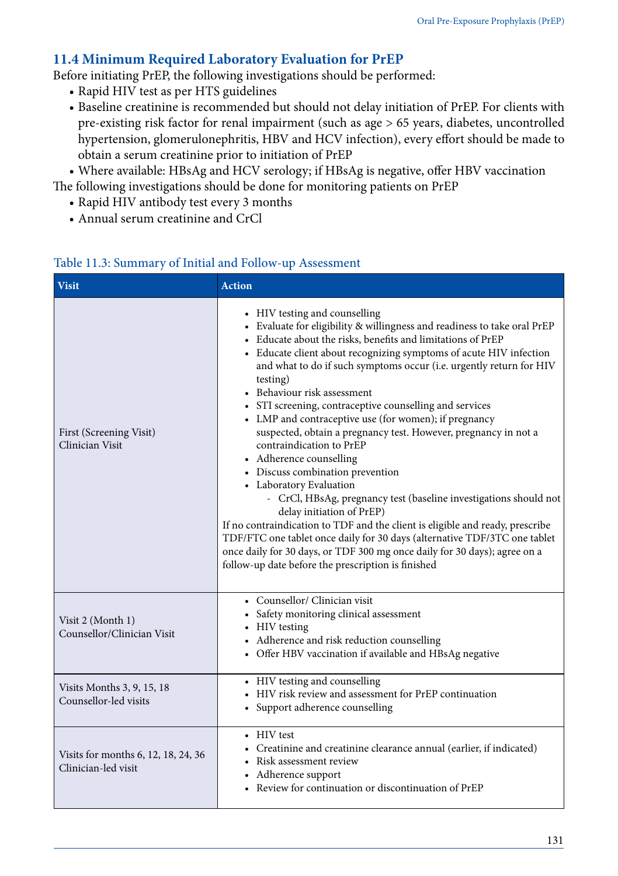# **11.4 Minimum Required Laboratory Evaluation for PrEP**

Before initiating PrEP, the following investigations should be performed:

- Rapid HIV test as per HTS guidelines
- Baseline creatinine is recommended but should not delay initiation of PrEP. For clients with pre-existing risk factor for renal impairment (such as age > 65 years, diabetes, uncontrolled hypertension, glomerulonephritis, HBV and HCV infection), every effort should be made to obtain a serum creatinine prior to initiation of PrEP

• Where available: HBsAg and HCV serology; if HBsAg is negative, offer HBV vaccination The following investigations should be done for monitoring patients on PrEP

- Rapid HIV antibody test every 3 months
- Annual serum creatinine and CrCl

| <b>Visit</b>                                               | <b>Action</b>                                                                                                                                                                                                                                                                                                                                                                                                                                                                                                                                                                                                                                                                                                                                                                                                                                                                                                                                                                                                                                                                    |
|------------------------------------------------------------|----------------------------------------------------------------------------------------------------------------------------------------------------------------------------------------------------------------------------------------------------------------------------------------------------------------------------------------------------------------------------------------------------------------------------------------------------------------------------------------------------------------------------------------------------------------------------------------------------------------------------------------------------------------------------------------------------------------------------------------------------------------------------------------------------------------------------------------------------------------------------------------------------------------------------------------------------------------------------------------------------------------------------------------------------------------------------------|
| First (Screening Visit)<br>Clinician Visit                 | • HIV testing and counselling<br>• Evaluate for eligibility & willingness and readiness to take oral PrEP<br>• Educate about the risks, benefits and limitations of PrEP<br>• Educate client about recognizing symptoms of acute HIV infection<br>and what to do if such symptoms occur (i.e. urgently return for HIV<br>testing)<br>• Behaviour risk assessment<br>• STI screening, contraceptive counselling and services<br>• LMP and contraceptive use (for women); if pregnancy<br>suspected, obtain a pregnancy test. However, pregnancy in not a<br>contraindication to PrEP<br>• Adherence counselling<br>• Discuss combination prevention<br>• Laboratory Evaluation<br>- CrCl, HBsAg, pregnancy test (baseline investigations should not<br>delay initiation of PrEP)<br>If no contraindication to TDF and the client is eligible and ready, prescribe<br>TDF/FTC one tablet once daily for 30 days (alternative TDF/3TC one tablet<br>once daily for 30 days, or TDF 300 mg once daily for 30 days); agree on a<br>follow-up date before the prescription is finished |
| Visit 2 (Month 1)<br>Counsellor/Clinician Visit            | • Counsellor/ Clinician visit<br>• Safety monitoring clinical assessment<br>• HIV testing<br>• Adherence and risk reduction counselling<br>• Offer HBV vaccination if available and HBsAg negative                                                                                                                                                                                                                                                                                                                                                                                                                                                                                                                                                                                                                                                                                                                                                                                                                                                                               |
| Visits Months 3, 9, 15, 18<br>Counsellor-led visits        | • HIV testing and counselling<br>• HIV risk review and assessment for PrEP continuation<br>• Support adherence counselling                                                                                                                                                                                                                                                                                                                                                                                                                                                                                                                                                                                                                                                                                                                                                                                                                                                                                                                                                       |
| Visits for months 6, 12, 18, 24, 36<br>Clinician-led visit | • HIV test<br>• Creatinine and creatinine clearance annual (earlier, if indicated)<br>• Risk assessment review<br>• Adherence support<br>• Review for continuation or discontinuation of PrEP                                                                                                                                                                                                                                                                                                                                                                                                                                                                                                                                                                                                                                                                                                                                                                                                                                                                                    |

## Table 11.3: Summary of Initial and Follow-up Assessment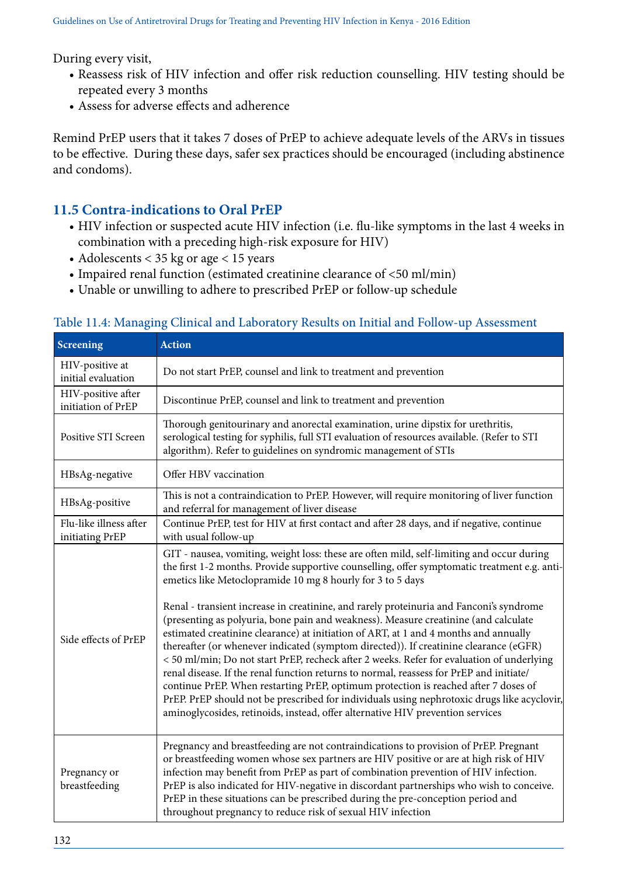During every visit,

- Reassess risk of HIV infection and offer risk reduction counselling. HIV testing should be repeated every 3 months
- Assess for adverse effects and adherence

Remind PrEP users that it takes 7 doses of PrEP to achieve adequate levels of the ARVs in tissues to be effective. During these days, safer sex practices should be encouraged (including abstinence and condoms).

# **11.5 Contra-indications to Oral PrEP**

- HIV infection or suspected acute HIV infection (i.e. flu-like symptoms in the last 4 weeks in combination with a preceding high-risk exposure for HIV)
- Adolescents < 35 kg or age < 15 years
- Impaired renal function (estimated creatinine clearance of <50 ml/min)
- Unable or unwilling to adhere to prescribed PrEP or follow-up schedule

| Screening                                 | <b>Action</b>                                                                                                                                                                                                                                                                                                                                                                                                                                                                                                                                                                                                                                                                                                                                                                                                                                                                                                                                                                                                                                                                              |  |  |  |  |
|-------------------------------------------|--------------------------------------------------------------------------------------------------------------------------------------------------------------------------------------------------------------------------------------------------------------------------------------------------------------------------------------------------------------------------------------------------------------------------------------------------------------------------------------------------------------------------------------------------------------------------------------------------------------------------------------------------------------------------------------------------------------------------------------------------------------------------------------------------------------------------------------------------------------------------------------------------------------------------------------------------------------------------------------------------------------------------------------------------------------------------------------------|--|--|--|--|
| HIV-positive at<br>initial evaluation     | Do not start PrEP, counsel and link to treatment and prevention                                                                                                                                                                                                                                                                                                                                                                                                                                                                                                                                                                                                                                                                                                                                                                                                                                                                                                                                                                                                                            |  |  |  |  |
| HIV-positive after<br>initiation of PrEP  | Discontinue PrEP, counsel and link to treatment and prevention                                                                                                                                                                                                                                                                                                                                                                                                                                                                                                                                                                                                                                                                                                                                                                                                                                                                                                                                                                                                                             |  |  |  |  |
| Positive STI Screen                       | Thorough genitourinary and anorectal examination, urine dipstix for urethritis,<br>serological testing for syphilis, full STI evaluation of resources available. (Refer to STI<br>algorithm). Refer to guidelines on syndromic management of STIs                                                                                                                                                                                                                                                                                                                                                                                                                                                                                                                                                                                                                                                                                                                                                                                                                                          |  |  |  |  |
| HBsAg-negative                            | Offer HBV vaccination                                                                                                                                                                                                                                                                                                                                                                                                                                                                                                                                                                                                                                                                                                                                                                                                                                                                                                                                                                                                                                                                      |  |  |  |  |
| HBsAg-positive                            | This is not a contraindication to PrEP. However, will require monitoring of liver function<br>and referral for management of liver disease                                                                                                                                                                                                                                                                                                                                                                                                                                                                                                                                                                                                                                                                                                                                                                                                                                                                                                                                                 |  |  |  |  |
| Flu-like illness after<br>initiating PrEP | Continue PrEP, test for HIV at first contact and after 28 days, and if negative, continue<br>with usual follow-up                                                                                                                                                                                                                                                                                                                                                                                                                                                                                                                                                                                                                                                                                                                                                                                                                                                                                                                                                                          |  |  |  |  |
| Side effects of PrEP                      | GIT - nausea, vomiting, weight loss: these are often mild, self-limiting and occur during<br>the first 1-2 months. Provide supportive counselling, offer symptomatic treatment e.g. anti-<br>emetics like Metoclopramide 10 mg 8 hourly for 3 to 5 days<br>Renal - transient increase in creatinine, and rarely proteinuria and Fanconi's syndrome<br>(presenting as polyuria, bone pain and weakness). Measure creatinine (and calculate<br>estimated creatinine clearance) at initiation of ART, at 1 and 4 months and annually<br>thereafter (or whenever indicated (symptom directed)). If creatinine clearance (eGFR)<br>< 50 ml/min; Do not start PrEP, recheck after 2 weeks. Refer for evaluation of underlying<br>renal disease. If the renal function returns to normal, reassess for PrEP and initiate/<br>continue PrEP. When restarting PrEP, optimum protection is reached after 7 doses of<br>PrEP. PrEP should not be prescribed for individuals using nephrotoxic drugs like acyclovir,<br>aminoglycosides, retinoids, instead, offer alternative HIV prevention services |  |  |  |  |
| Pregnancy or<br>breastfeeding             | Pregnancy and breastfeeding are not contraindications to provision of PrEP. Pregnant<br>or breastfeeding women whose sex partners are HIV positive or are at high risk of HIV<br>infection may benefit from PrEP as part of combination prevention of HIV infection.<br>PrEP is also indicated for HIV-negative in discordant partnerships who wish to conceive.<br>PrEP in these situations can be prescribed during the pre-conception period and<br>throughout pregnancy to reduce risk of sexual HIV infection                                                                                                                                                                                                                                                                                                                                                                                                                                                                                                                                                                         |  |  |  |  |

## Table 11.4: Managing Clinical and Laboratory Results on Initial and Follow-up Assessment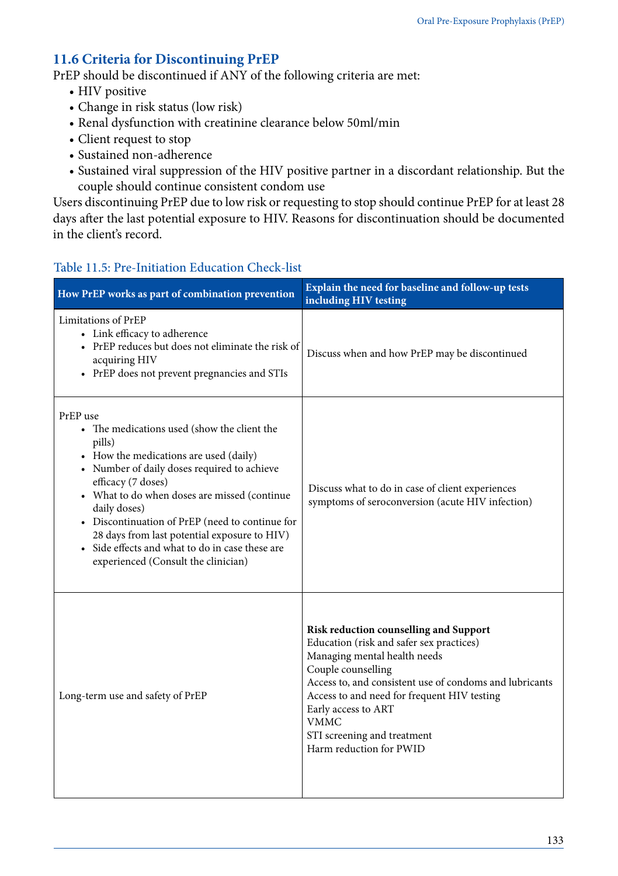# **11.6 Criteria for Discontinuing PrEP**

PrEP should be discontinued if ANY of the following criteria are met:

- HIV positive
- Change in risk status (low risk)
- Renal dysfunction with creatinine clearance below 50ml/min
- Client request to stop
- Sustained non-adherence
- Sustained viral suppression of the HIV positive partner in a discordant relationship. But the couple should continue consistent condom use

Users discontinuing PrEP due to low risk or requesting to stop should continue PrEP for at least 28 days after the last potential exposure to HIV. Reasons for discontinuation should be documented in the client's record.

## Table 11.5: Pre-Initiation Education Check-list

| How PrEP works as part of combination prevention                                                                                                                                                                                                                                                                                                                                                                                              | Explain the need for baseline and follow-up tests<br>including HIV testing                                                                                                                                                                                                                                                                         |
|-----------------------------------------------------------------------------------------------------------------------------------------------------------------------------------------------------------------------------------------------------------------------------------------------------------------------------------------------------------------------------------------------------------------------------------------------|----------------------------------------------------------------------------------------------------------------------------------------------------------------------------------------------------------------------------------------------------------------------------------------------------------------------------------------------------|
| Limitations of PrEP<br>• Link efficacy to adherence<br>• PrEP reduces but does not eliminate the risk of<br>acquiring HIV<br>• PrEP does not prevent pregnancies and STIs                                                                                                                                                                                                                                                                     | Discuss when and how PrEP may be discontinued                                                                                                                                                                                                                                                                                                      |
| PrEP use<br>• The medications used (show the client the<br>pills)<br>• How the medications are used (daily)<br>• Number of daily doses required to achieve<br>efficacy (7 doses)<br>• What to do when doses are missed (continue<br>daily doses)<br>• Discontinuation of PrEP (need to continue for<br>28 days from last potential exposure to HIV)<br>• Side effects and what to do in case these are<br>experienced (Consult the clinician) | Discuss what to do in case of client experiences<br>symptoms of seroconversion (acute HIV infection)                                                                                                                                                                                                                                               |
| Long-term use and safety of PrEP                                                                                                                                                                                                                                                                                                                                                                                                              | Risk reduction counselling and Support<br>Education (risk and safer sex practices)<br>Managing mental health needs<br>Couple counselling<br>Access to, and consistent use of condoms and lubricants<br>Access to and need for frequent HIV testing<br>Early access to ART<br><b>VMMC</b><br>STI screening and treatment<br>Harm reduction for PWID |